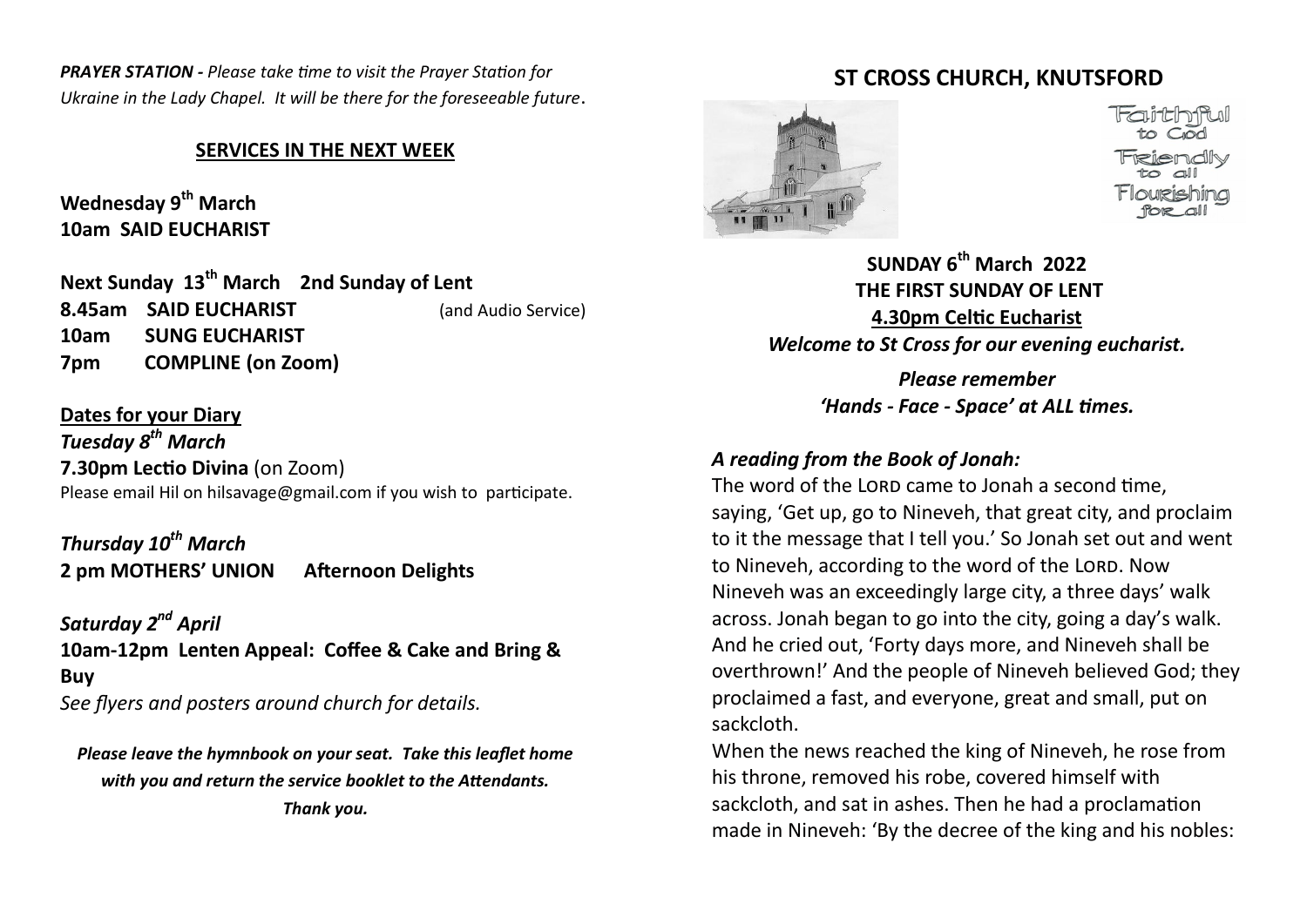*PRAYER STATION - Please take time to visit the Prayer Station for Ukraine in the Lady Chapel. It will be there for the foreseeable future*.

#### **SERVICES IN THE NEXT WEEK**

**Wednesday 9th March 10am SAID EUCHARIST** 

**Next Sunday 13th March 2nd Sunday of Lent 8.45am SAID EUCHARIST** (and Audio Service) **10am SUNG EUCHARIST 7pm COMPLINE (on Zoom)**

**Dates for your Diary** *Tuesday 8th March*  **7.30pm Lectio Divina** (on Zoom) Please email Hil on hilsavage@gmail.com if you wish to participate.

*Thursday 10th March* **2 pm MOTHERS' UNION Afternoon Delights**

*Saturday 2nd April* **10am-12pm Lenten Appeal: Coffee & Cake and Bring & Buy** *See flyers and posters around church for details.*

*Please leave the hymnbook on your seat. Take this leaflet home with you and return the service booklet to the Attendants. Thank you.*

## **ST CROSS CHURCH, KNUTSFORD**



**SUNDAY 6th March 2022 THE FIRST SUNDAY OF LENT 4.30pm Celtic Eucharist** *Welcome to St Cross for our evening eucharist.* 

> *Please remember 'Hands - Face - Space' at ALL times.*

#### *A reading from the Book of Jonah:*

The word of the LORD came to Jonah a second time. saying, 'Get up, go to Nineveh, that great city, and proclaim to it the message that I tell you.' So Jonah set out and went to Nineveh, according to the word of the LORD. Now Nineveh was an exceedingly large city, a three days' walk across. Jonah began to go into the city, going a day's walk. And he cried out, 'Forty days more, and Nineveh shall be overthrown!' And the people of Nineveh believed God; they proclaimed a fast, and everyone, great and small, put on sackcloth.

When the news reached the king of Nineveh, he rose from his throne, removed his robe, covered himself with sackcloth, and sat in ashes. Then he had a proclamation made in Nineveh: 'By the decree of the king and his nobles: